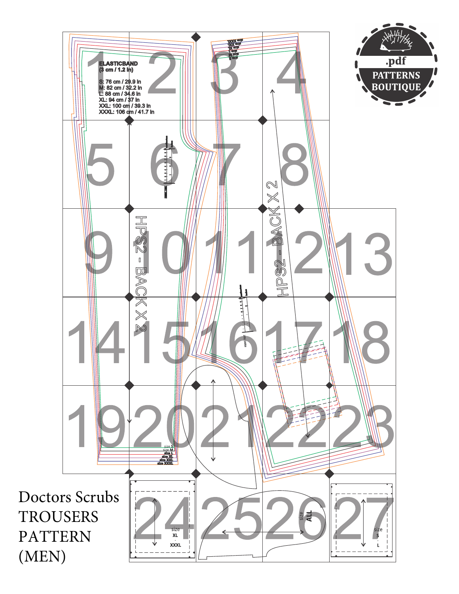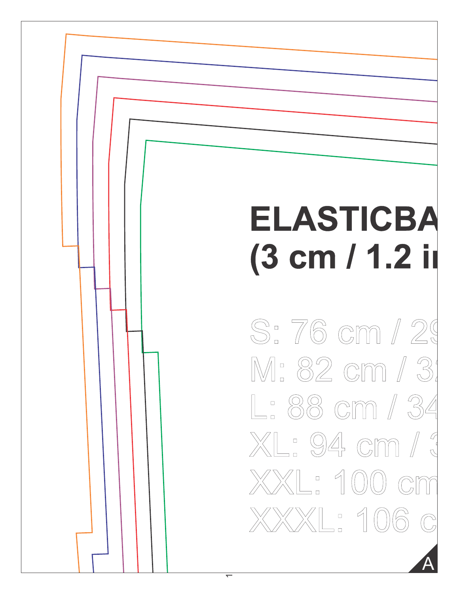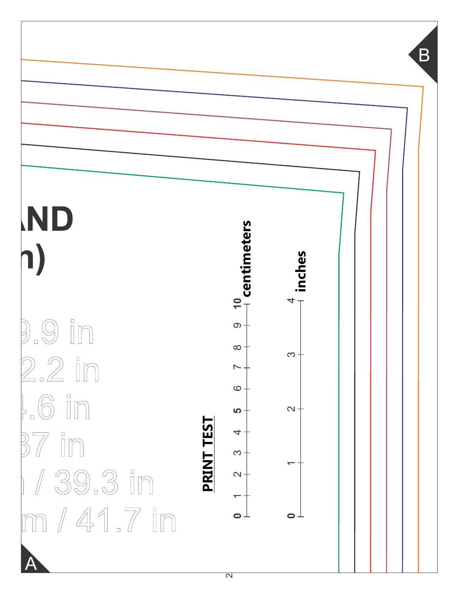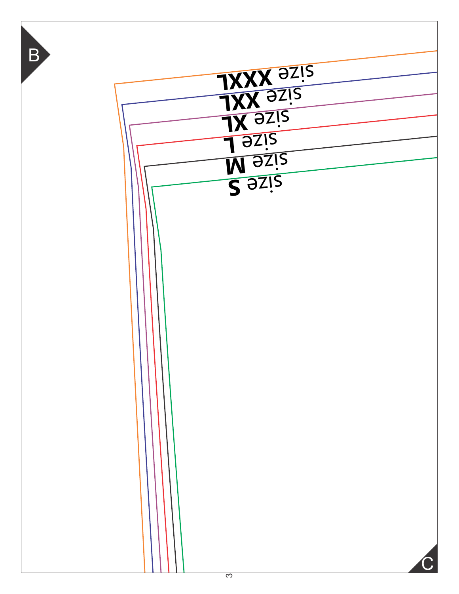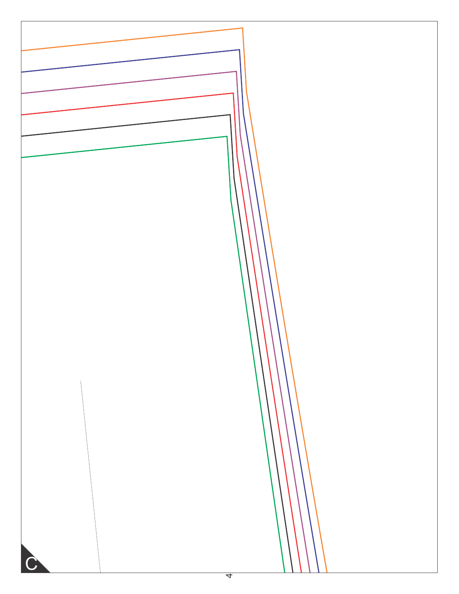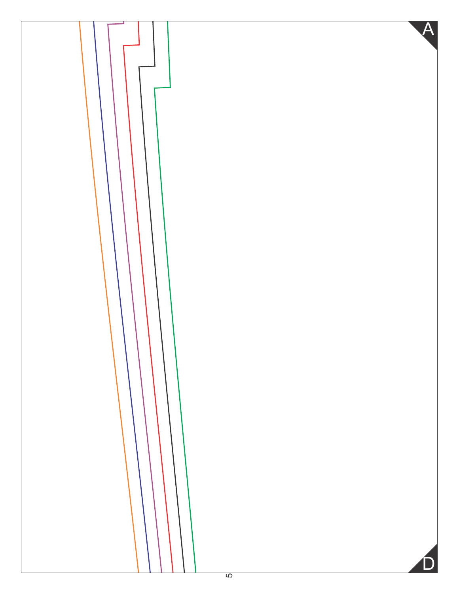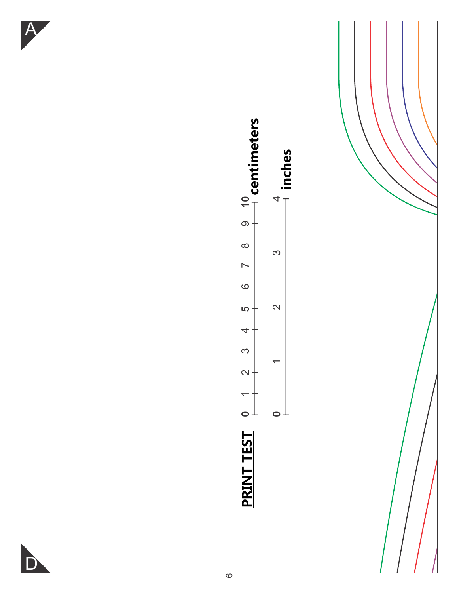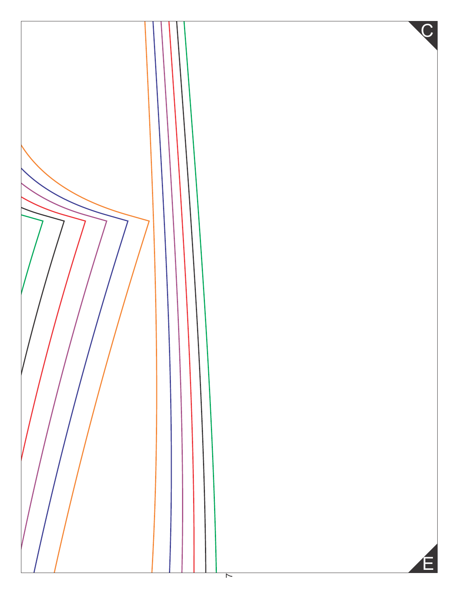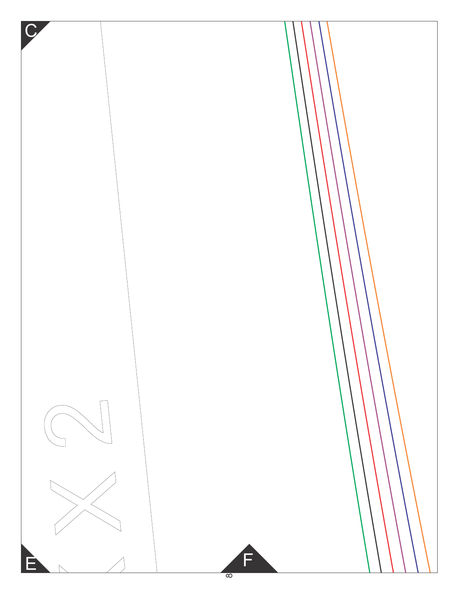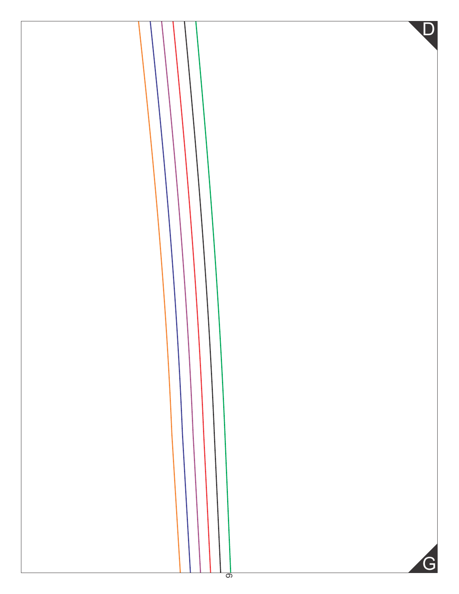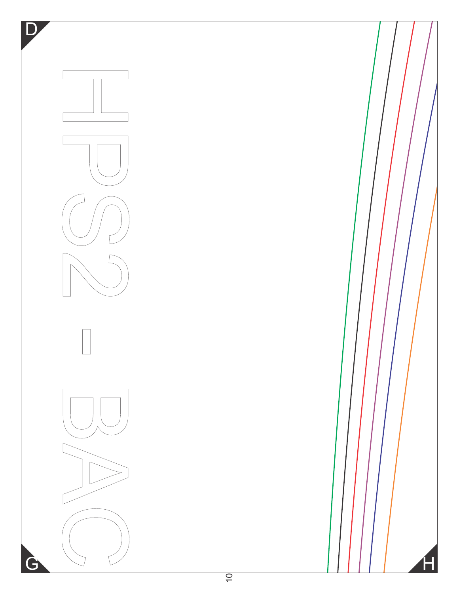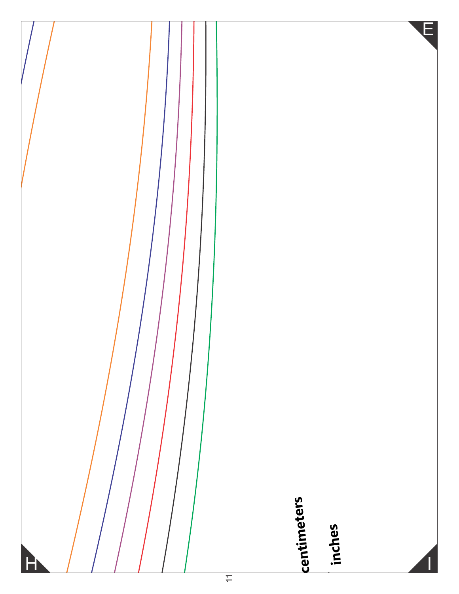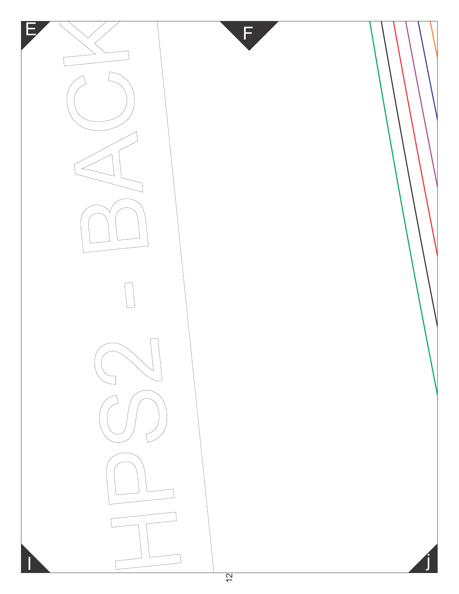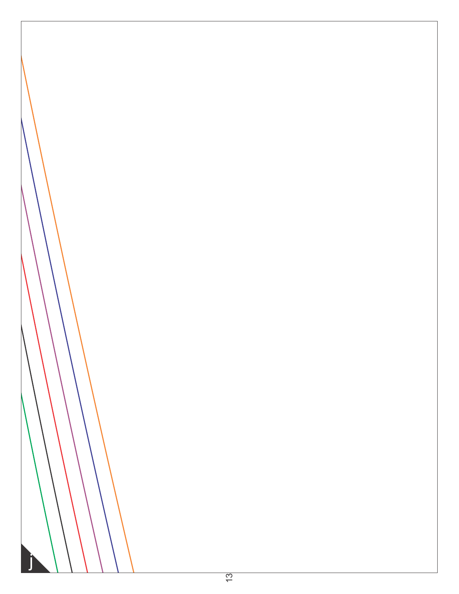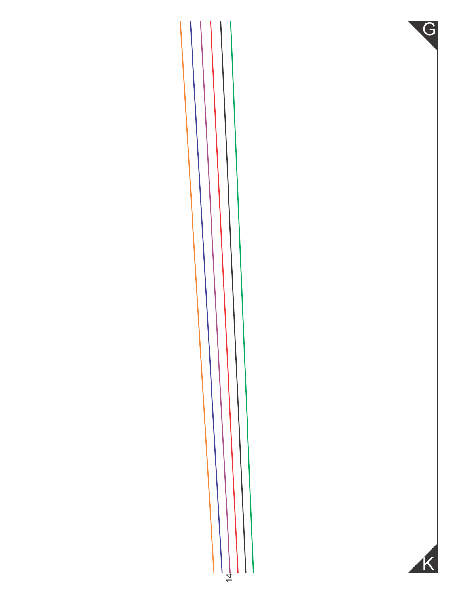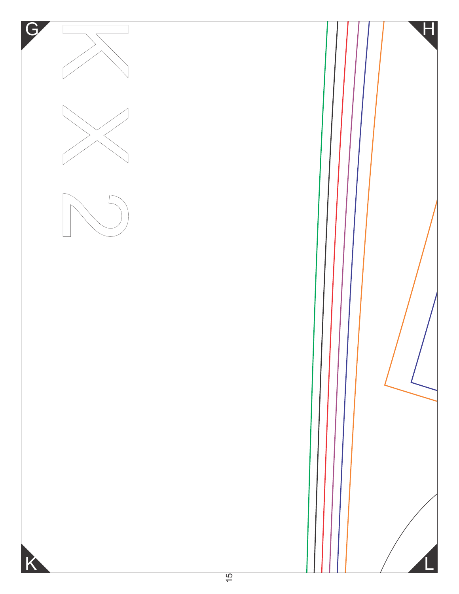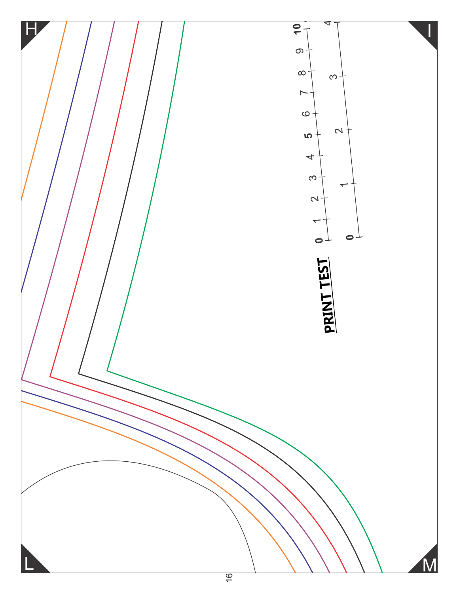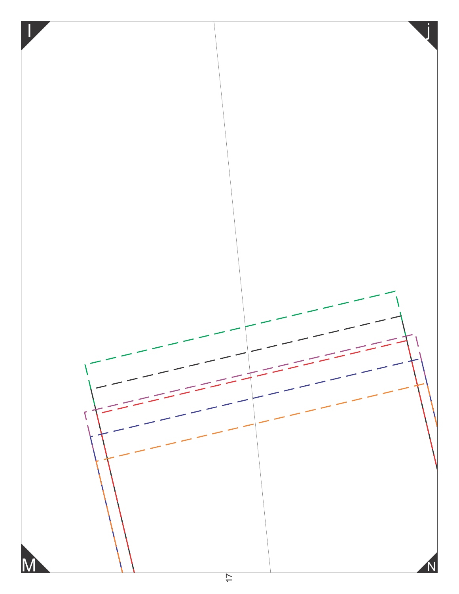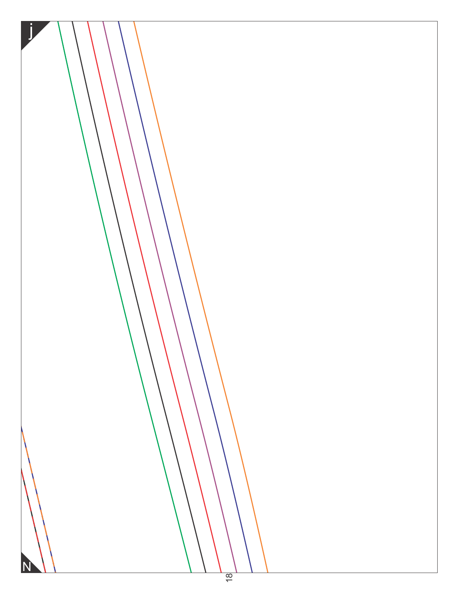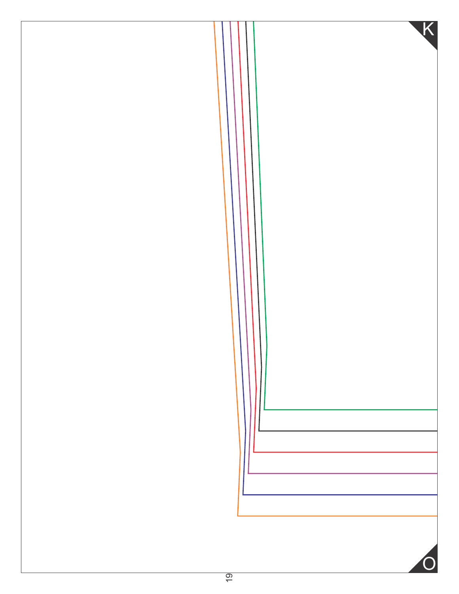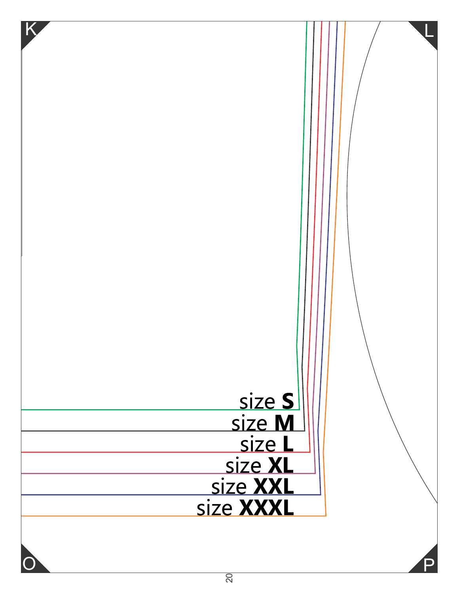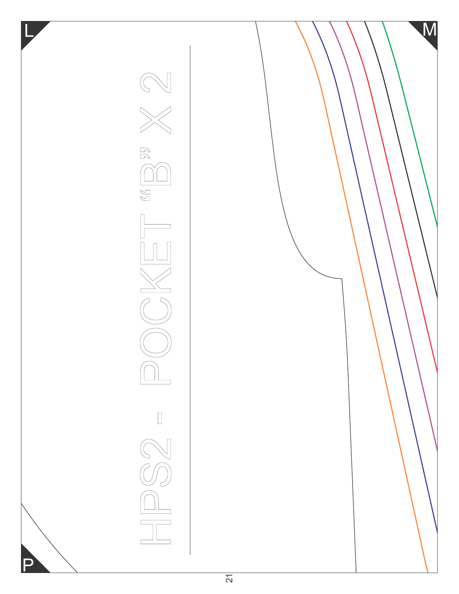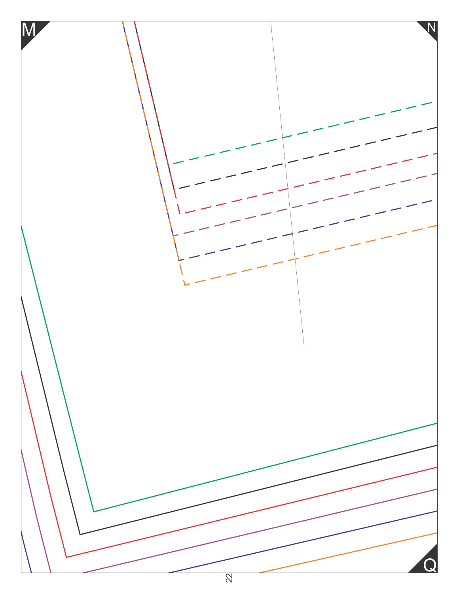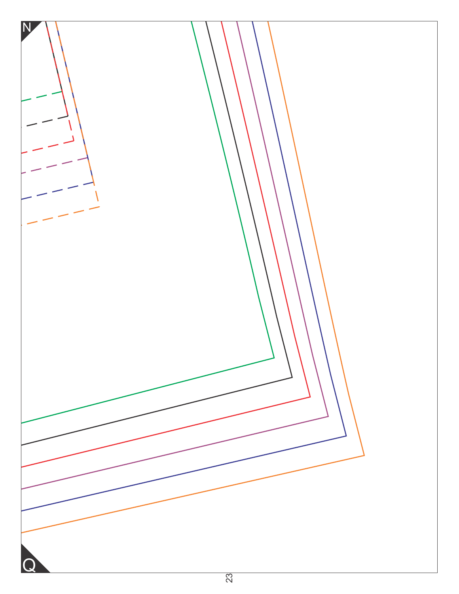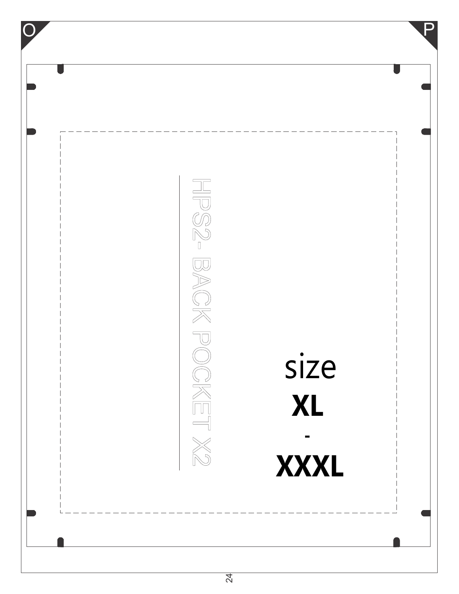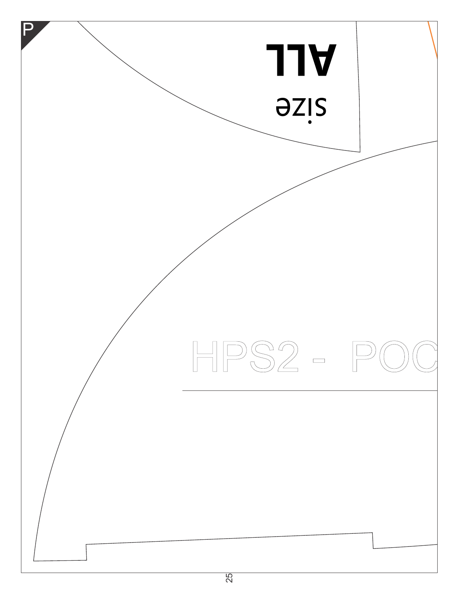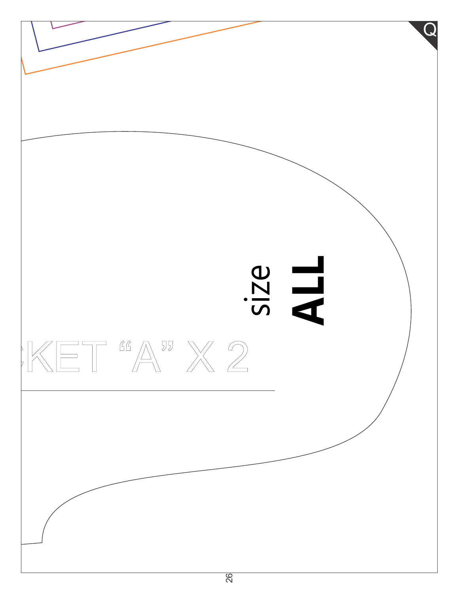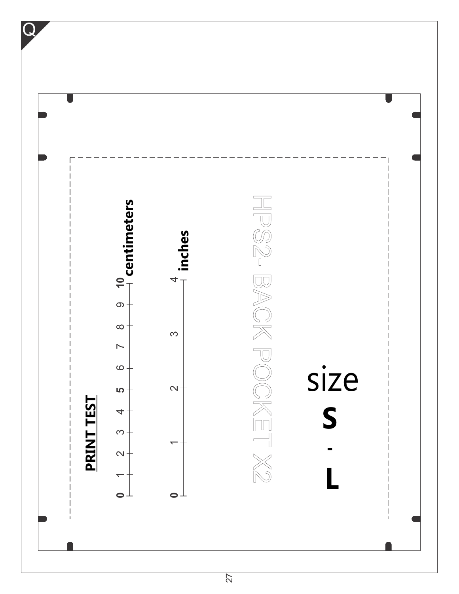